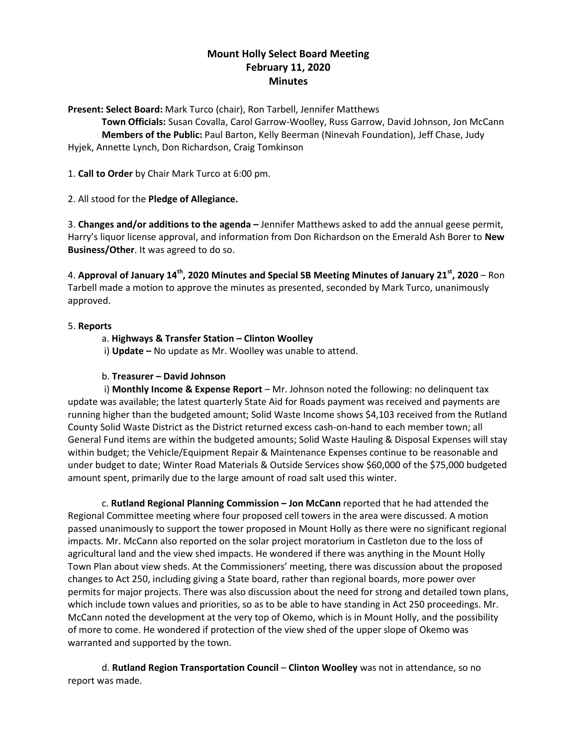# **Mount Holly Select Board Meeting February 11, 2020 Minutes**

**Present: Select Board:** Mark Turco (chair), Ron Tarbell, Jennifer Matthews

**Town Officials:** Susan Covalla, Carol Garrow-Woolley, Russ Garrow, David Johnson, Jon McCann **Members of the Public:** Paul Barton, Kelly Beerman (Ninevah Foundation), Jeff Chase, Judy Hyjek, Annette Lynch, Don Richardson, Craig Tomkinson

1. **Call to Order** by Chair Mark Turco at 6:00 pm.

2. All stood for the **Pledge of Allegiance.**

3. **Changes and/or additions to the agenda –** Jennifer Matthews asked to add the annual geese permit, Harry's liquor license approval, and information from Don Richardson on the Emerald Ash Borer to **New Business/Other**. It was agreed to do so.

4. **Approval of January 14th, 2020 Minutes and Special SB Meeting Minutes of January 21st, 2020** – Ron Tarbell made a motion to approve the minutes as presented, seconded by Mark Turco, unanimously approved.

## 5. **Reports**

## a. **Highways & Transfer Station – Clinton Woolley**

i) **Update –** No update as Mr. Woolley was unable to attend.

## b. **Treasurer – David Johnson**

i) **Monthly Income & Expense Report** – Mr. Johnson noted the following: no delinquent tax update was available; the latest quarterly State Aid for Roads payment was received and payments are running higher than the budgeted amount; Solid Waste Income shows \$4,103 received from the Rutland County Solid Waste District as the District returned excess cash-on-hand to each member town; all General Fund items are within the budgeted amounts; Solid Waste Hauling & Disposal Expenses will stay within budget; the Vehicle/Equipment Repair & Maintenance Expenses continue to be reasonable and under budget to date; Winter Road Materials & Outside Services show \$60,000 of the \$75,000 budgeted amount spent, primarily due to the large amount of road salt used this winter.

c. **Rutland Regional Planning Commission – Jon McCann** reported that he had attended the Regional Committee meeting where four proposed cell towers in the area were discussed. A motion passed unanimously to support the tower proposed in Mount Holly as there were no significant regional impacts. Mr. McCann also reported on the solar project moratorium in Castleton due to the loss of agricultural land and the view shed impacts. He wondered if there was anything in the Mount Holly Town Plan about view sheds. At the Commissioners' meeting, there was discussion about the proposed changes to Act 250, including giving a State board, rather than regional boards, more power over permits for major projects. There was also discussion about the need for strong and detailed town plans, which include town values and priorities, so as to be able to have standing in Act 250 proceedings. Mr. McCann noted the development at the very top of Okemo, which is in Mount Holly, and the possibility of more to come. He wondered if protection of the view shed of the upper slope of Okemo was warranted and supported by the town.

d. **Rutland Region Transportation Council** – **Clinton Woolley** was not in attendance, so no report was made.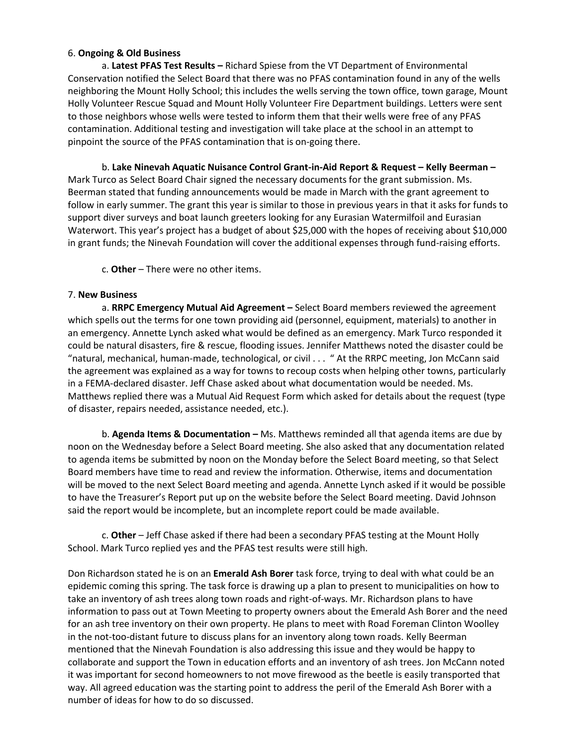#### 6. **Ongoing & Old Business**

a. **Latest PFAS Test Results –** Richard Spiese from the VT Department of Environmental Conservation notified the Select Board that there was no PFAS contamination found in any of the wells neighboring the Mount Holly School; this includes the wells serving the town office, town garage, Mount Holly Volunteer Rescue Squad and Mount Holly Volunteer Fire Department buildings. Letters were sent to those neighbors whose wells were tested to inform them that their wells were free of any PFAS contamination. Additional testing and investigation will take place at the school in an attempt to pinpoint the source of the PFAS contamination that is on-going there.

b. **Lake Ninevah Aquatic Nuisance Control Grant-in-Aid Report & Request – Kelly Beerman –** Mark Turco as Select Board Chair signed the necessary documents for the grant submission. Ms. Beerman stated that funding announcements would be made in March with the grant agreement to follow in early summer. The grant this year is similar to those in previous years in that it asks for funds to support diver surveys and boat launch greeters looking for any Eurasian Watermilfoil and Eurasian Waterwort. This year's project has a budget of about \$25,000 with the hopes of receiving about \$10,000 in grant funds; the Ninevah Foundation will cover the additional expenses through fund-raising efforts.

c. **Other** – There were no other items.

#### 7. **New Business**

a. **RRPC Emergency Mutual Aid Agreement –** Select Board members reviewed the agreement which spells out the terms for one town providing aid (personnel, equipment, materials) to another in an emergency. Annette Lynch asked what would be defined as an emergency. Mark Turco responded it could be natural disasters, fire & rescue, flooding issues. Jennifer Matthews noted the disaster could be "natural, mechanical, human-made, technological, or civil . . . " At the RRPC meeting, Jon McCann said the agreement was explained as a way for towns to recoup costs when helping other towns, particularly in a FEMA-declared disaster. Jeff Chase asked about what documentation would be needed. Ms. Matthews replied there was a Mutual Aid Request Form which asked for details about the request (type of disaster, repairs needed, assistance needed, etc.).

b. **Agenda Items & Documentation –** Ms. Matthews reminded all that agenda items are due by noon on the Wednesday before a Select Board meeting. She also asked that any documentation related to agenda items be submitted by noon on the Monday before the Select Board meeting, so that Select Board members have time to read and review the information. Otherwise, items and documentation will be moved to the next Select Board meeting and agenda. Annette Lynch asked if it would be possible to have the Treasurer's Report put up on the website before the Select Board meeting. David Johnson said the report would be incomplete, but an incomplete report could be made available.

c. **Other** – Jeff Chase asked if there had been a secondary PFAS testing at the Mount Holly School. Mark Turco replied yes and the PFAS test results were still high.

Don Richardson stated he is on an **Emerald Ash Borer** task force, trying to deal with what could be an epidemic coming this spring. The task force is drawing up a plan to present to municipalities on how to take an inventory of ash trees along town roads and right-of-ways. Mr. Richardson plans to have information to pass out at Town Meeting to property owners about the Emerald Ash Borer and the need for an ash tree inventory on their own property. He plans to meet with Road Foreman Clinton Woolley in the not-too-distant future to discuss plans for an inventory along town roads. Kelly Beerman mentioned that the Ninevah Foundation is also addressing this issue and they would be happy to collaborate and support the Town in education efforts and an inventory of ash trees. Jon McCann noted it was important for second homeowners to not move firewood as the beetle is easily transported that way. All agreed education was the starting point to address the peril of the Emerald Ash Borer with a number of ideas for how to do so discussed.